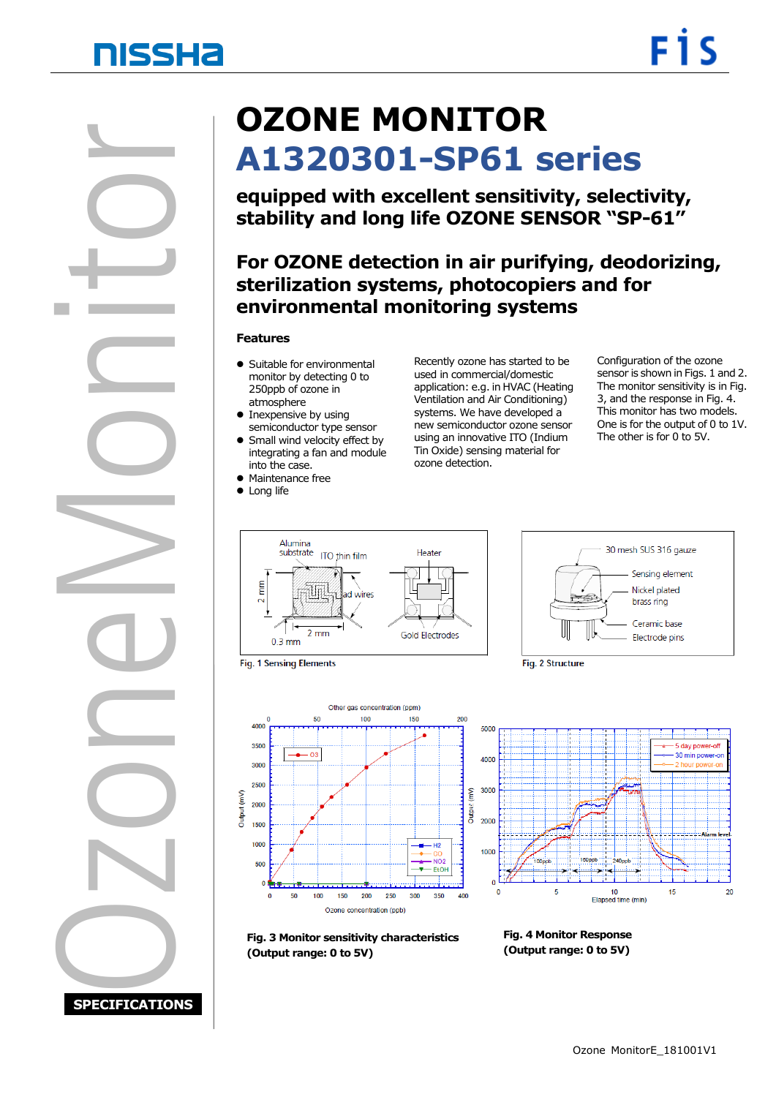# **NISSHA**

OzoneMonitor **SPECIFICATIONS**

# **OZONE MONITOR A1320301-SP61 series**

**equipped with excellent sensitivity, selectivity, stability and long life OZONE SENSOR "SP-61"**

### **sterilization systems, photocopiers and for For OZONE detection in air purifying, deodorizing, environmental monitoring systems**

#### **Features**

- Suitable for environmental monitor by detecting 0 to 250ppb of ozone in atmosphere
- Inexpensive by using semiconductor type sensor  $\bullet$  Small wind velocity effect by
- integrating a fan and module into the case.
- Maintenance free
- Long life

Recently ozone has started to be used in commercial/domestic application: e.g. in HVAC (Heating Ventilation and Air Conditioning) systems. We have developed a new semiconductor ozone sensor using an innovative ITO (Indium Tin Oxide) sensing material for ozone detection.

Configuration of the ozone sensor is shown in Figs. 1 and 2. The monitor sensitivity is in Fig. 3, and the response in Fig. 4. This monitor has two models. One is for the output of 0 to 1V. The other is for 0 to 5V.



**Fig. 1 Sensing Elements** 





Fig. 2 Structure



**Fig. 3 Monitor sensitivity characteristics (Output range: 0 to 5V)**

**Fig. 4 Monitor Response (Output range: 0 to 5V)**